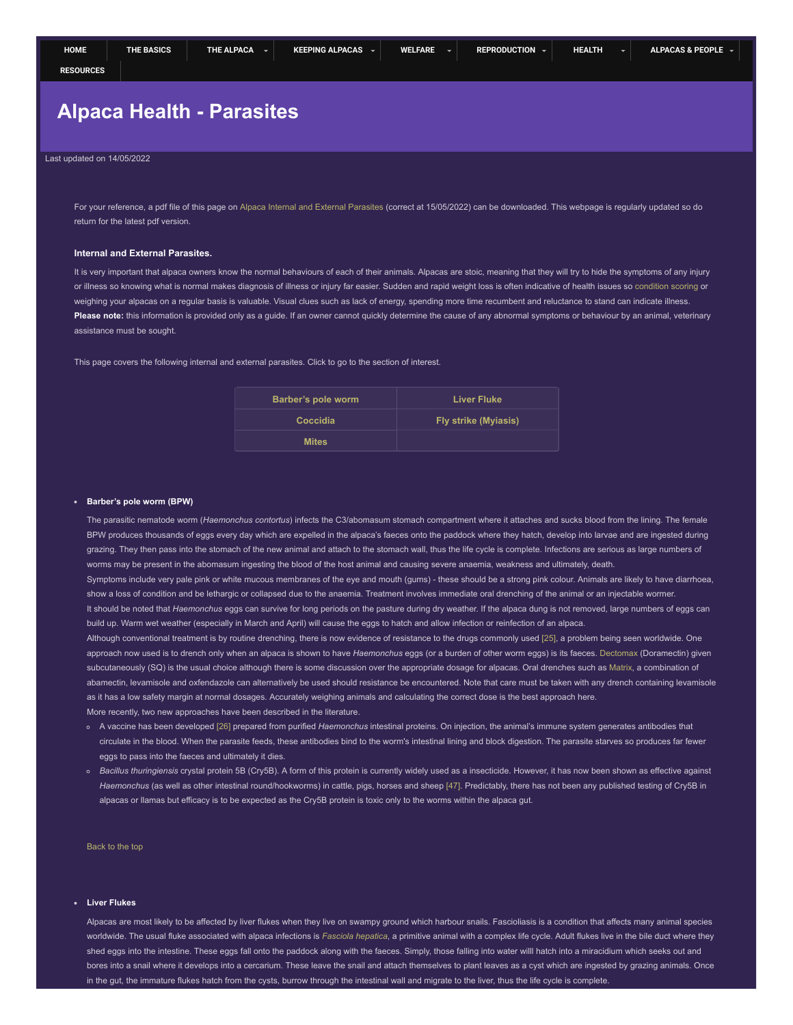# <span id="page-0-0"></span>**Alpaca Health - Parasites**

### Last updated on 14/05/2022

For your reference, a pdf file of this page on [Alpaca Internal and External Parasites](https://www.tekorito-alpacas.co.nz/assets/pdf/tekorito-alpacas.co.nz-alpaca-internal-external-parasites.pdf) (correct at 15/05/2022) can be downloaded. This webpage is regularly updated so do return for the latest pdf version.

#### **Internal and External Parasites.**

It is very important that alpaca owners know the normal behaviours of each of their animals. Alpacas are stoic, meaning that they will try to hide the symptoms of any injury or illness so knowing what is normal makes diagnosis of illness or injury far easier. Sudden and rapid weight loss is often indicative of health issues so [condition scoring](https://www.tekorito-alpacas.co.nz/alpaca-welfare.html#condition) or weighing your alpacas on a regular basis is valuable. Visual clues such as lack of energy, spending more time recumbent and reluctance to stand can indicate illness. Please note: this information is provided only as a guide. If an owner cannot quickly determine the cause of any abnormal symptoms or behaviour by an animal, veterinary assistance must be sought.

This page covers the following internal and external parasites. Click to go to the section of interest.

| Barber's pole worm | <b>Liver Fluke</b>          |
|--------------------|-----------------------------|
| Coccidia           | <b>Fly strike (Myiasis)</b> |
| <b>Mites</b>       |                             |

#### <span id="page-0-1"></span>**Barber's pole worm (BPW)**

The parasitic nematode worm (*Haemonchus contortus*) infects the C3/abomasum stomach compartment where it attaches and sucks blood from the lining. The female BPW produces thousands of eggs every day which are expelled in the alpaca's faeces onto the paddock where they hatch, develop into larvae and are ingested during grazing. They then pass into the stomach of the new animal and attach to the stomach wall, thus the life cycle is complete. Infections are serious as large numbers of worms may be present in the abomasum ingesting the blood of the host animal and causing severe anaemia, weakness and ultimately, death.

Symptoms include very pale pink or white mucous membranes of the eye and mouth (gums) - these should be a strong pink colour. Animals are likely to have diarrhoea, show a loss of condition and be lethargic or collapsed due to the anaemia. Treatment involves immediate oral drenching of the animal or an injectable wormer. It should be noted that *Haemonchus* eggs can survive for long periods on the pasture during dry weather. If the alpaca dung is not removed, large numbers of eggs can build up. Warm wet weather (especially in March and April) will cause the eggs to hatch and allow infection or reinfection of an alpaca.

Although conventional treatment is by routine drenching, there is now evidence of resistance to the drugs commonly used [\[25\]](#page-2-0), a problem being seen worldwide. One approach now used is to drench only when an alpaca is shown to have *Haemonchus* eggs (or a burden of other worm eggs) is its faeces. [Dectomax](https://www.zoetis.co.nz/livestocksolutions/sheepsolutions/zoetis-product-summaries/drench.aspx) (Doramectin) given subcutaneously (SQ) is the usual choice although there is some discussion over the appropriate dosage for alpacas. Oral drenches such as [Matrix](https://www.boehringer-ingelheim.com.au/animal-health-new-zealand/sheep-nz), a combination of abamectin, levamisole and oxfendazole can alternatively be used should resistance be encountered. Note that care must be taken with any drench containing levamisole as it has a low safety margin at normal dosages. Accurately weighing animals and calculating the correct dose is the best approach here. More recently, two new approaches have been described in the literature.

- A vaccine has been developed [\[26\]](#page-2-1) prepared from purified *Haemonchus* intestinal proteins. On injection, the animal's immune system generates antibodies that circulate in the blood. When the parasite feeds, these antibodies bind to the worm's intestinal lining and block digestion. The parasite starves so produces far fewer eggs to pass into the faeces and ultimately it dies.
- *Bacillus thuringiensis* crystal protein 5B (Cry5B). A form of this protein is currently widely used as a insecticide. However, it has now been shown as effective against *Haemonchus* (as well as other intestinal round/hookworms) in cattle, pigs, horses and sheep [\[47\].](#page-2-2) Predictably, there has not been any published testing of Cry5B in alpacas or llamas but efficacy is to be expected as the Cry5B protein is toxic only to the worms within the alpaca gut.

<span id="page-0-2"></span>[Back to the top](#page-0-0)

# **Liver Flukes**

Alpacas are most likely to be affected by liver flukes when they live on swampy ground which harbour snails. Fascioliasis is a condition that affects many animal species worldwide. The usual fluke associated with alpaca infections is [Fasciola hepatica](https://en.wikipedia.org/wiki/Fasciola_hepatica), a primitive animal with a complex life cycle. Adult flukes live in the bile duct where they shed eggs into the intestine. These eggs fall onto the paddock along with the faeces. Simply, those falling into water willl hatch into a miracidium which seeks out and bores into a snail where it develops into a cercarium. These leave the snail and attach themselves to plant leaves as a cyst which are ingested by grazing animals. Once in the gut, the immature flukes hatch from the cysts, burrow through the intestinal wall and migrate to the liver, thus the life cycle is complete.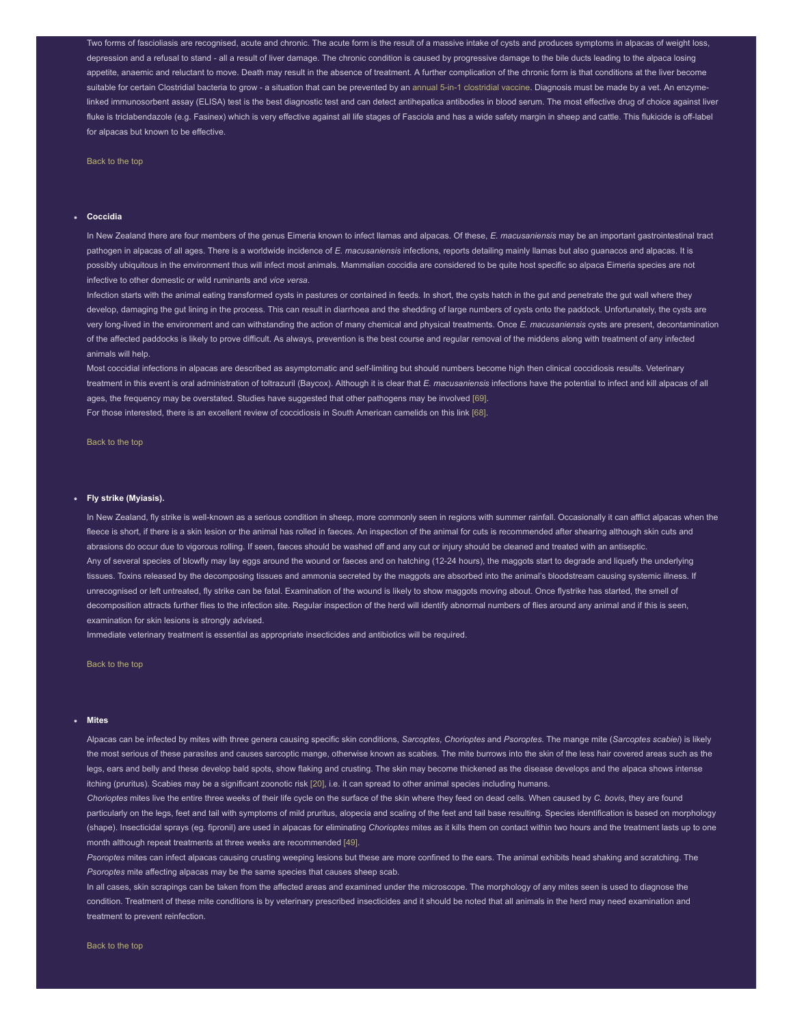Two forms of fascioliasis are recognised, acute and chronic. The acute form is the result of a massive intake of cysts and produces symptoms in alpacas of weight loss, depression and a refusal to stand - all a result of liver damage. The chronic condition is caused by progressive damage to the bile ducts leading to the alpaca losing appetite, anaemic and reluctant to move. Death may result in the absence of treatment. A further complication of the chronic form is that conditions at the liver become suitable for certain Clostridial bacteria to grow - a situation that can be prevented by an [annual 5-in-1 clostridial vaccine](https://www.tekorito-alpacas.co.nz/alpaca-welfare.html#inject). Diagnosis must be made by a vet. An enzymelinked immunosorbent assay (ELISA) test is the best diagnostic test and can detect antihepatica antibodies in blood serum. The most effective drug of choice against liver fluke is triclabendazole (e.g. Fasinex) which is very effective against all life stages of Fasciola and has a wide safety margin in sheep and cattle. This flukicide is off-label for alpacas but known to be effective.

<span id="page-1-0"></span>[Back to the top](#page-0-0)

#### **Coccidia**

In New Zealand there are four members of the genus Eimeria known to infect llamas and alpacas. Of these, *E. macusaniensis* may be an important gastrointestinal tract pathogen in alpacas of all ages. There is a worldwide incidence of *E. macusaniensis* infections, reports detailing mainly llamas but also guanacos and alpacas. It is possibly ubiquitous in the environment thus will infect most animals. Mammalian coccidia are considered to be quite host specific so alpaca Eimeria species are not infective to other domestic or wild ruminants and *vice versa*.

Infection starts with the animal eating transformed cysts in pastures or contained in feeds. In short, the cysts hatch in the gut and penetrate the gut wall where they develop, damaging the gut lining in the process. This can result in diarrhoea and the shedding of large numbers of cysts onto the paddock. Unfortunately, the cysts are very long-lived in the environment and can withstanding the action of many chemical and physical treatments. Once *E. macusaniensis* cysts are present, decontamination of the affected paddocks is likely to prove difficult. As always, prevention is the best course and regular removal of the middens along with treatment of any infected animals will help.

Most coccidial infections in alpacas are described as asymptomatic and self-limiting but should numbers become high then clinical coccidiosis results. Veterinary treatment in this event is oral administration of toltrazuril (Baycox). Although it is clear that *E. macusaniensis* infections have the potential to infect and kill alpacas of all ages, the frequency may be overstated. Studies have suggested that other pathogens may be involved [\[69\].](#page-2-3) For those interested, there is an excellent review of coccidiosis in South American camelids on this link [\[68\]](#page-2-4).

## **Fly strike (Myiasis).**

<span id="page-1-1"></span>[Back to the top](#page-0-0)

In New Zealand, fly strike is well-known as a serious condition in sheep, more commonly seen in regions with summer rainfall. Occasionally it can afflict alpacas when the fleece is short, if there is a skin lesion or the animal has rolled in faeces. An inspection of the animal for cuts is recommended after shearing although skin cuts and abrasions do occur due to vigorous rolling. If seen, faeces should be washed off and any cut or injury should be cleaned and treated with an antiseptic. Any of several species of blowfly may lay eggs around the wound or faeces and on hatching (12-24 hours), the maggots start to degrade and liquefy the underlying tissues. Toxins released by the decomposing tissues and ammonia secreted by the maggots are absorbed into the animal's bloodstream causing systemic illness. If unrecognised or left untreated, fly strike can be fatal. Examination of the wound is likely to show maggots moving about. Once flystrike has started, the smell of decomposition attracts further flies to the infection site. Regular inspection of the herd will identify abnormal numbers of flies around any animal and if this is seen, examination for skin lesions is strongly advised.

Immediate veterinary treatment is essential as appropriate insecticides and antibiotics will be required.

<span id="page-1-2"></span>[Back to the top](#page-0-0)

#### **Mites**

Alpacas can be infected by mites with three genera causing specific skin conditions, *Sarcoptes*, *Chorioptes* and *Psoroptes*. The mange mite (*Sarcoptes scabiei*) is likely the most serious of these parasites and causes sarcoptic mange, otherwise known as scabies. The mite burrows into the skin of the less hair covered areas such as the legs, ears and belly and these develop bald spots, show flaking and crusting. The skin may become thickened as the disease develops and the alpaca shows intense itching (pruritus). Scabies may be a significant zoonotic risk [20], i.e. it can spread to other animal species including humans.

*Chorioptes* mites live the entire three weeks of their life cycle on the surface of the skin where they feed on dead cells. When caused by *C. bovis*, they are found particularly on the legs, feet and tail with symptoms of mild pruritus, alopecia and scaling of the feet and tail base resulting. Species identification is based on morphology (shape). Insecticidal sprays (eg. fipronil) are used in alpacas for eliminating *Chorioptes* mites as it kills them on contact within two hours and the treatment lasts up to one month although repeat treatments at three weeks are recommended [49].

*Psoroptes* mites can infect alpacas causing crusting weeping lesions but these are more confined to the ears. The animal exhibits head shaking and scratching. The *Psoroptes* mite affecting alpacas may be the same species that causes sheep scab.

In all cases, skin scrapings can be taken from the affected areas and examined under the microscope. The morphology of any mites seen is used to diagnose the condition. Treatment of these mite conditions is by veterinary prescribed insecticides and it should be noted that all animals in the herd may need examination and treatment to prevent reinfection.